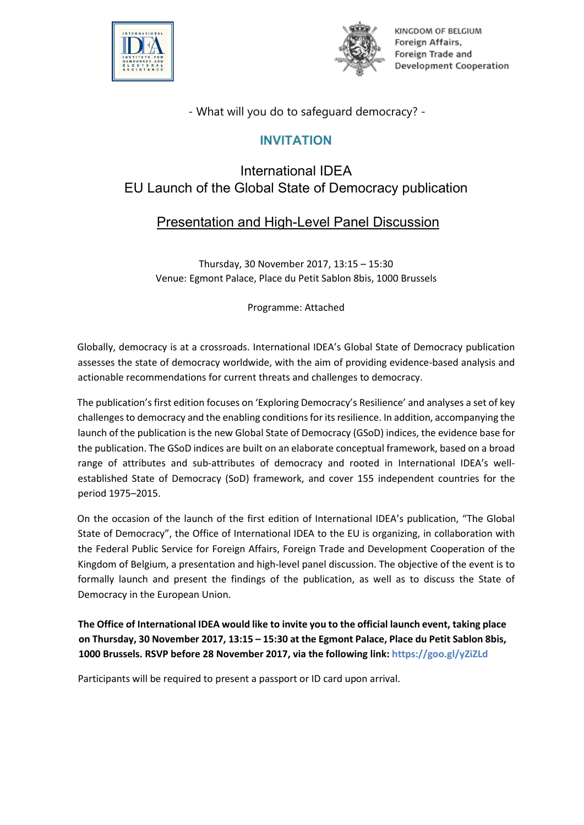



KINGDOM OF BELGIUM Foreign Affairs, Foreign Trade and **Development Cooperation** 

- What will you do to safeguard democracy? -

### INVITATION

# International IDEA EU Launch of the Global State of Democracy publication

## Presentation and High-Level Panel Discussion

Thursday, 30 November 2017, 13:15 – 15:30 Venue: Egmont Palace, Place du Petit Sablon 8bis, 1000 Brussels

Programme: Attached

Globally, democracy is at a crossroads. International IDEA's Global State of Democracy publication assesses the state of democracy worldwide, with the aim of providing evidence-based analysis and actionable recommendations for current threats and challenges to democracy.

The publication's first edition focuses on 'Exploring Democracy's Resilience' and analyses a set of key challenges to democracy and the enabling conditionsfor its resilience. In addition, accompanying the launch of the publication is the new Global State of Democracy (GSoD) indices, the evidence base for the publication. The GSoD indices are built on an elaborate conceptual framework, based on a broad range of attributes and sub-attributes of democracy and rooted in International IDEA's wellestablished State of Democracy (SoD) framework, and cover 155 independent countries for the period 1975–2015.

On the occasion of the launch of the first edition of International IDEA's publication, "The Global State of Democracy", the Office of International IDEA to the EU is organizing, in collaboration with the Federal Public Service for Foreign Affairs, Foreign Trade and Development Cooperation of the Kingdom of Belgium, a presentation and high-level panel discussion. The objective of the event is to formally launch and present the findings of the publication, as well as to discuss the State of Democracy in the European Union.

The Office of International IDEA would like to invite you to the official launch event, taking place on Thursday, 30 November 2017, 13:15 – 15:30 at the Egmont Palace, Place du Petit Sablon 8bis, 1000 Brussels. RSVP before 28 November 2017, via the following link: https://goo.gl/yZiZLd

Participants will be required to present a passport or ID card upon arrival.